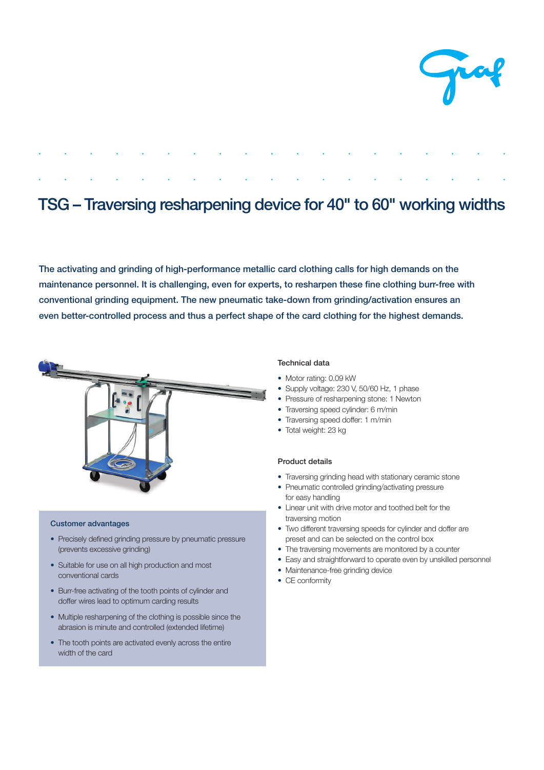

# TSG – Traversing resharpening device for 40" to 60" working widths

The activating and grinding of high-performance metallic card clothing calls for high demands on the maintenance personnel. It is challenging, even for experts, to resharpen these fine clothing burr-free with conventional grinding equipment. The new pneumatic take-down from grinding/activation ensures an even better-controlled process and thus a perfect shape of the card clothing for the highest demands.



## Customer advantages

- Precisely defined grinding pressure by pneumatic pressure (prevents excessive grinding)
- Suitable for use on all high production and most conventional cards
- Burr-free activating of the tooth points of cylinder and doffer wires lead to optimum carding results
- Multiple resharpening of the clothing is possible since the abrasion is minute and controlled (extended lifetime)
- The tooth points are activated evenly across the entire width of the card

### Technical data

- Motor rating: 0.09 kW
- Supply voltage: 230 V, 50/60 Hz, 1 phase
- Pressure of resharpening stone: 1 Newton
- Traversing speed cylinder: 6 m/min
- Traversing speed doffer: 1 m/min
- Total weight: 23 kg

#### Product details

- Traversing grinding head with stationary ceramic stone
- Pneumatic controlled grinding/activating pressure for easy handling
- Linear unit with drive motor and toothed belt for the traversing motion
- Two different traversing speeds for cylinder and doffer are preset and can be selected on the control box
- The traversing movements are monitored by a counter
- Easy and straightforward to operate even by unskilled personnel
- Maintenance-free grinding device
- CE conformity